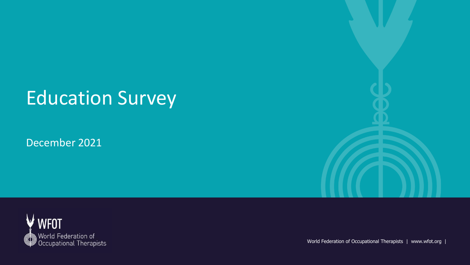# Education Survey

December 2021





World Federation of Occupational Therapists | www.wfot.org |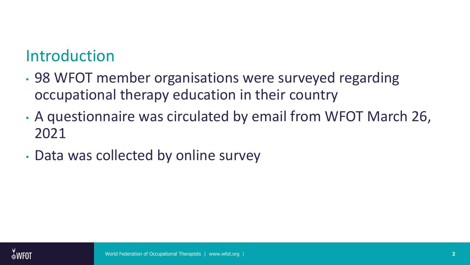## Introduction

- 98 WFOT member organisations were surveyed regarding occupational therapy education in their country
- A questionnaire was circulated by email from WFOT March 26, 2021
- Data was collected by online survey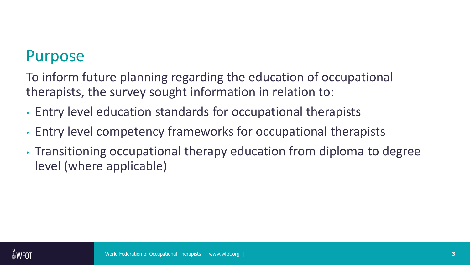### Purpose

To inform future planning regarding the education of occupational therapists, the survey sought information in relation to:

- Entry level education standards for occupational therapists
- Entry level competency frameworks for occupational therapists
- Transitioning occupational therapy education from diploma to degree level (where applicable)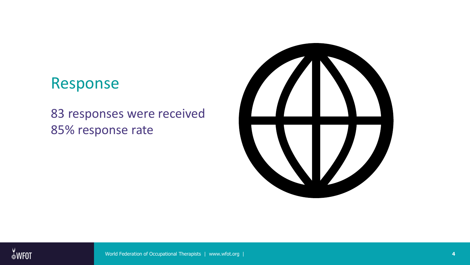### Response

83 responses were received 85% response rate

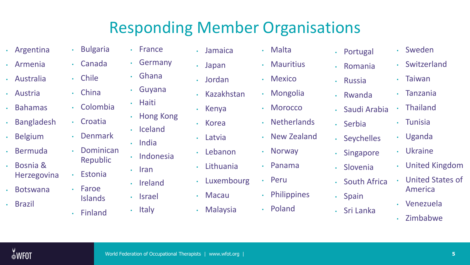## Responding Member Organisations

- Argentina
- Armenia
- Australia
- Austria
- Bahamas
- Bangladesh
- Belgium
- Bermuda
- Bosnia & Herzegovina
- Botswana
- Brazil
- Bulgaria
- Germany • Canada

• France

• Guyana

• Iceland

• Indonesia

• India

• Iran

• Ireland

• Hong Kong

• Haiti

- Ghana
- 
- Colombia
- 
- 
- Republic
- Estonia
- Faroe
	- Islands
- Chile
- China
- 
- Croatia
- Denmark
- Dominican
	-
	- - Israel
- Italy • Finland
- Jamaica
- Japan
- Jordan
- Kazakhstan
- Kenya
- Korea
- Latvia
	- Lebanon
	- Lithuania
	- Luxembourg
- Macau
	- Malaysia
- Malta
- Mauritius
- Mexico
- Mongolia
- Morocco
- Netherlands
- New Zealand
- Norway
- Panama
- -
	- Poland
- Portugal
- 
- 
- 
- 
- 
- 
- 
- 
- Peru
- Philippines
- 
- 
- Romania
- Russia
- Rwanda

• Serbia

• Saudi Arabia

• Singapore

• Slovenia

• Spain

• Sri Lanka

- Tunisia
- Uganda • Seychelles
	- Ukraine

• Sweden

• Taiwan

• Tanzania

• Thailand

• Switzerland

- United Kingdom
- United States of America • South Africa
	- Venezuela
	- Zimbabwe

 $W$ FOT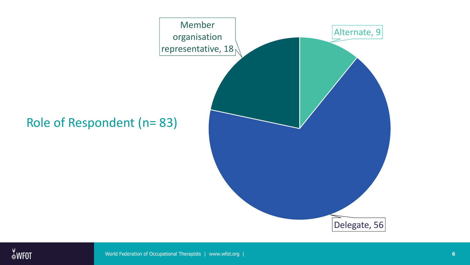

#### Role of Respondent (n= 83)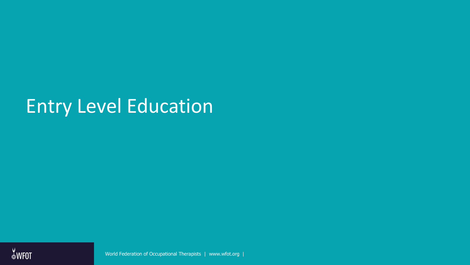## Entry Level Education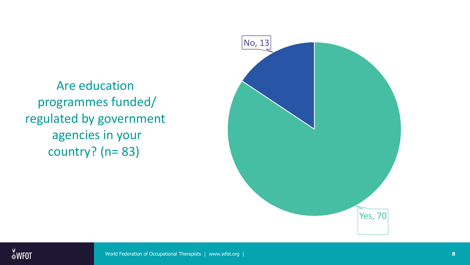Are education programmes funded/ regulated by government agencies in your country? (n= 83)

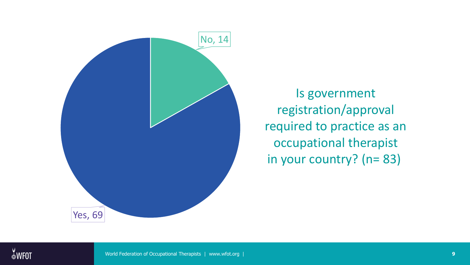

Is government registration/approval required to practice as an occupational therapist in your country? (n= 83)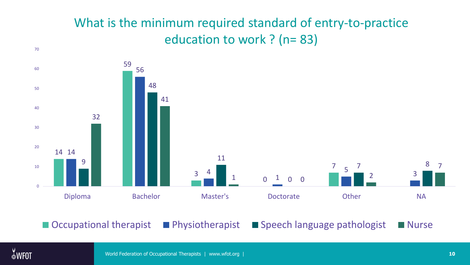#### What is the minimum required standard of entry-to-practice education to work ? (n= 83)



■ Occupational therapist ■ Physiotherapist ■ Speech language pathologist ■ Nurse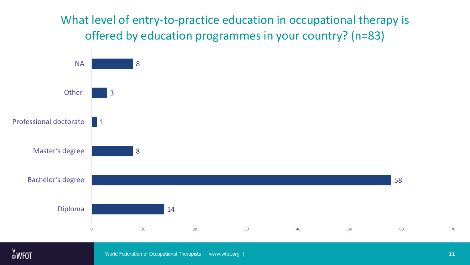What level of entry-to-practice education in occupational therapy is offered by education programmes in your country? (n=83)



World Federation of Occupational Therapists | www.wfot.org | **11**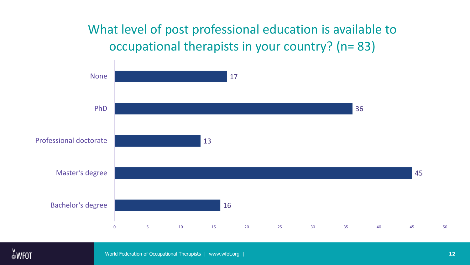#### What level of post professional education is available to occupational therapists in your country? (n= 83)



World Federation of Occupational Therapists | www.wfot.org | **12**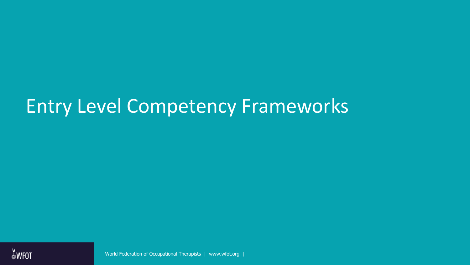## Entry Level Competency Frameworks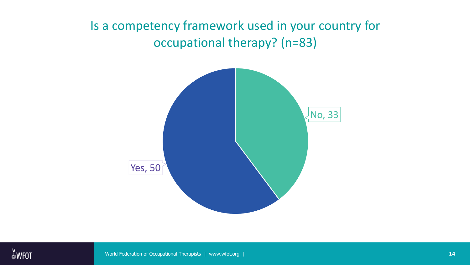#### Is a competency framework used in your country for occupational therapy? (n=83)

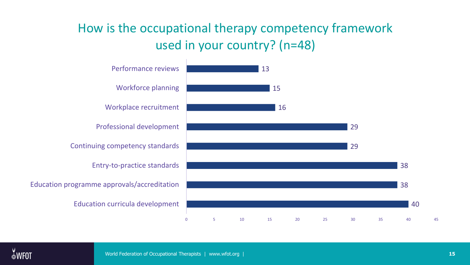#### How is the occupational therapy competency framework used in your country? (n=48)

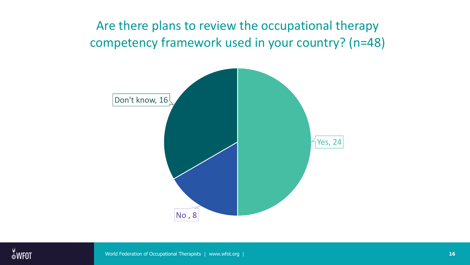Are there plans to review the occupational therapy competency framework used in your country? (n=48)

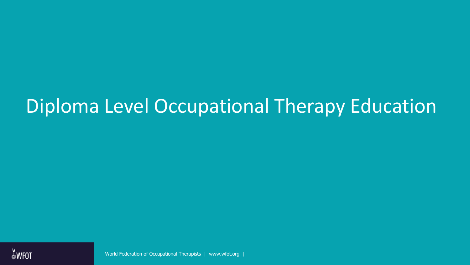## Diploma Level Occupational Therapy Education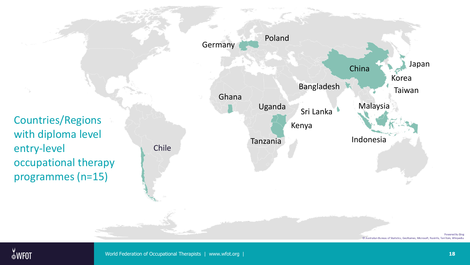

Powered by Bing © Australian Bureau of Statistics, GeoNames, Microsoft, Navinfo, TomTom, Wikipedi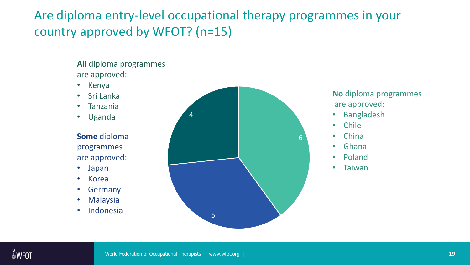#### Are diploma entry-level occupational therapy programmes in your country approved by WFOT? (n=15)

**All** diploma programmes are approved:

- Kenya
- Sri Lanka
- Tanzania
- Uganda

**Some** diploma programmes are approved:

- Japan
- Korea
- **Germany**
- Malaysia
- Indonesia



**No** diploma programmes are approved:

- **Bangladesh**
- Chile
- China
- Ghana
- Poland
- **Taiwan**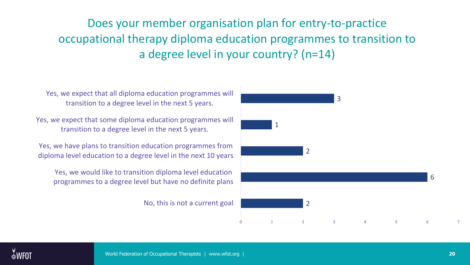Does your member organisation plan for entry-to-practice occupational therapy diploma education programmes to transition to a degree level in your country? (n=14)

Yes, we expect that all diploma education programmes will transition to a degree level in the next 5 years.

Yes, we expect that some diploma education programmes will transition to a degree level in the next 5 years.

Yes, we have plans to transition education programmes from diploma level education to a degree level in the next 10 years

Yes, we would like to transition diploma level education programmes to a degree level but have no definite plans

No, this is not a current goal

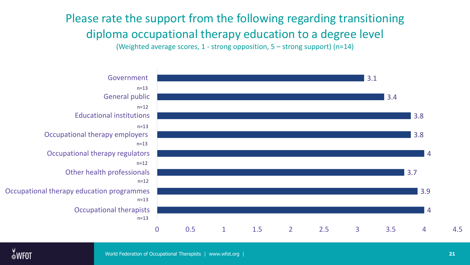Please rate the support from the following regarding transitioning diploma occupational therapy education to a degree level (Weighted average scores, 1 - strong opposition, 5 – strong support) (n=14)



World Federation of Occupational Therapists | www.wfot.org | **21**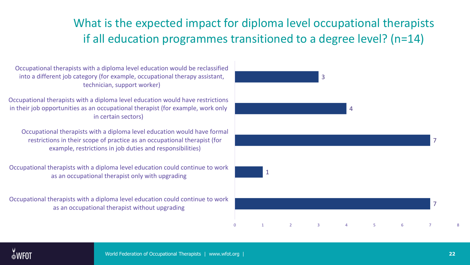#### What is the expected impact for diploma level occupational therapists if all education programmes transitioned to a degree level? (n=14)

Occupational therapists with a diploma level education would be reclassified into a different job category (for example, occupational therapy assistant, technician, support worker)

Occupational therapists with a diploma level education would have restrictions in their job opportunities as an occupational therapist (for example, work only in certain sectors)

Occupational therapists with a diploma level education would have formal restrictions in their scope of practice as an occupational therapist (for example, restrictions in job duties and responsibilities)

Occupational therapists with a diploma level education could continue to work as an occupational therapist only with upgrading

Occupational therapists with a diploma level education could continue to work as an occupational therapist without upgrading

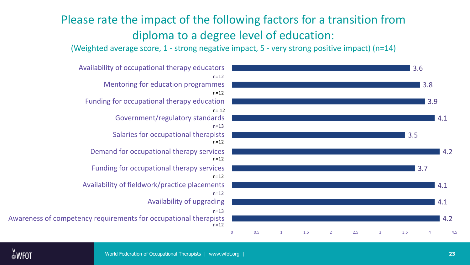#### Please rate the impact of the following factors for a transition from diploma to a degree level of education:

(Weighted average score, 1 - strong negative impact, 5 - very strong positive impact) (n=14)



Awareness of competency requirements for occupational therapists Availability of upgrading Availability of fieldwork/practice placements Funding for occupational therapy services Demand for occupational therapy services Salaries for occupational therapists Government/regulatory standards Funding for occupational therapy education Mentoring for education programmes Availability of occupational therapy educators n=12 n=13 n=13 n=12 n= 12 n=12 n=12 n=12 n=12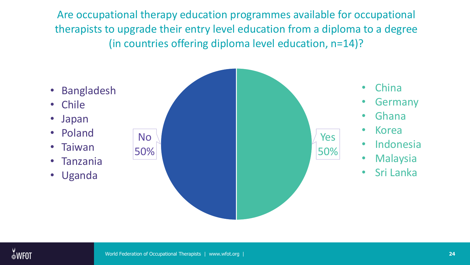Are occupational therapy education programmes available for occupational therapists to upgrade their entry level education from a diploma to a degree (in countries offering diploma level education, n=14)?

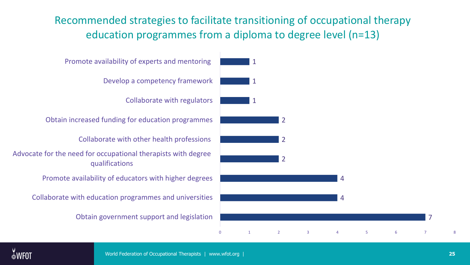Recommended strategies to facilitate transitioning of occupational therapy education programmes from a diploma to degree level (n=13)



7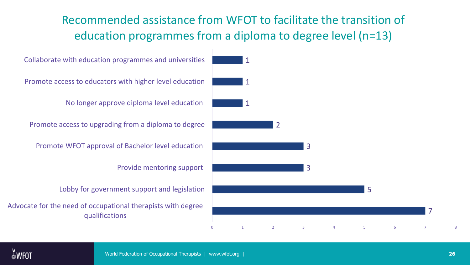#### Recommended assistance from WFOT to facilitate the transition of education programmes from a diploma to degree level (n=13)

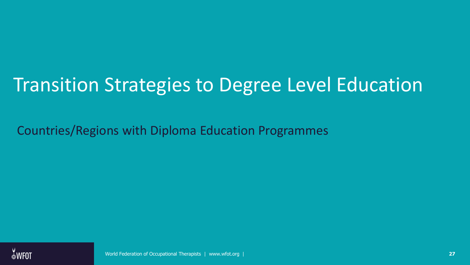# Transition Strategies to Degree Level Education

Countries/Regions with Diploma Education Programmes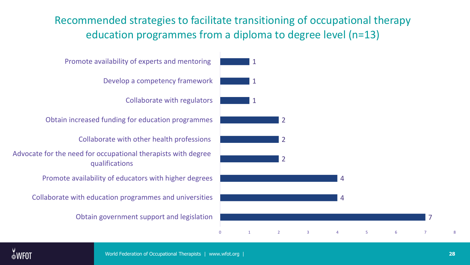Recommended strategies to facilitate transitioning of occupational therapy education programmes from a diploma to degree level (n=13)



7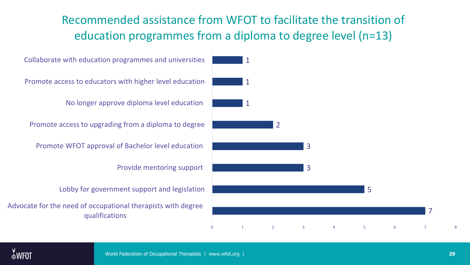#### Recommended assistance from WFOT to facilitate the transition of education programmes from a diploma to degree level (n=13)

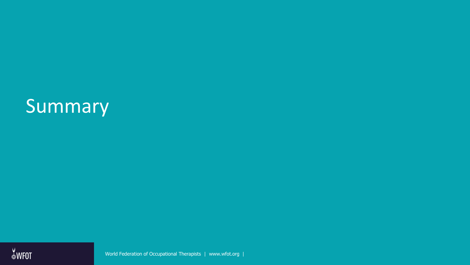## **Summary**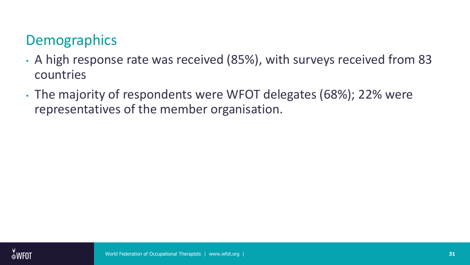## **Demographics**

- A high response rate was received (85%), with surveys received from 83 countries
- The majority of respondents were WFOT delegates (68%); 22% were representatives of the member organisation.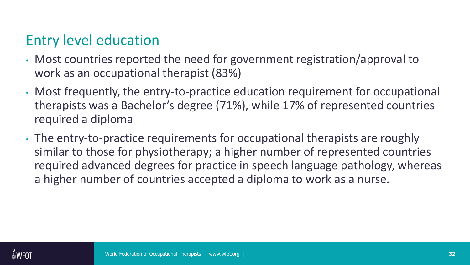### Entry level education

- Most countries reported the need for government registration/approval to work as an occupational therapist (83%)
- Most frequently, the entry-to-practice education requirement for occupational therapists was a Bachelor's degree (71%), while 17% of represented countries required a diploma
- The entry-to-practice requirements for occupational therapists are roughly similar to those for physiotherapy; a higher number of represented countries required advanced degrees for practice in speech language pathology, whereas a higher number of countries accepted a diploma to work as a nurse.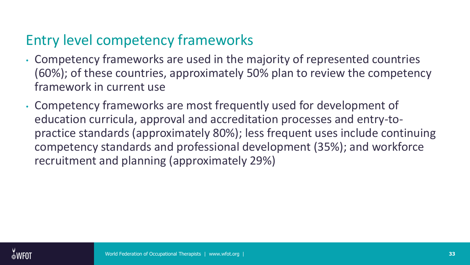## Entry level competency frameworks

- Competency frameworks are used in the majority of represented countries (60%); of these countries, approximately 50% plan to review the competency framework in current use
- Competency frameworks are most frequently used for development of education curricula, approval and accreditation processes and entry-topractice standards (approximately 80%); less frequent uses include continuing competency standards and professional development (35%); and workforce recruitment and planning (approximately 29%)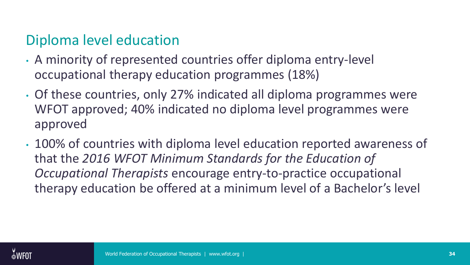### Diploma level education

- A minority of represented countries offer diploma entry-level occupational therapy education programmes (18%)
- Of these countries, only 27% indicated all diploma programmes were WFOT approved; 40% indicated no diploma level programmes were approved
- 100% of countries with diploma level education reported awareness of that the *2016 WFOT Minimum Standards for the Education of Occupational Therapists* encourage entry-to-practice occupational therapy education be offered at a minimum level of a Bachelor's level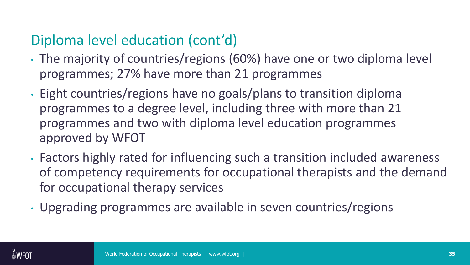## Diploma level education (cont'd)

- The majority of countries/regions (60%) have one or two diploma level programmes; 27% have more than 21 programmes
- Eight countries/regions have no goals/plans to transition diploma programmes to a degree level, including three with more than 21 programmes and two with diploma level education programmes approved by WFOT
- Factors highly rated for influencing such a transition included awareness of competency requirements for occupational therapists and the demand for occupational therapy services
- Upgrading programmes are available in seven countries/regions